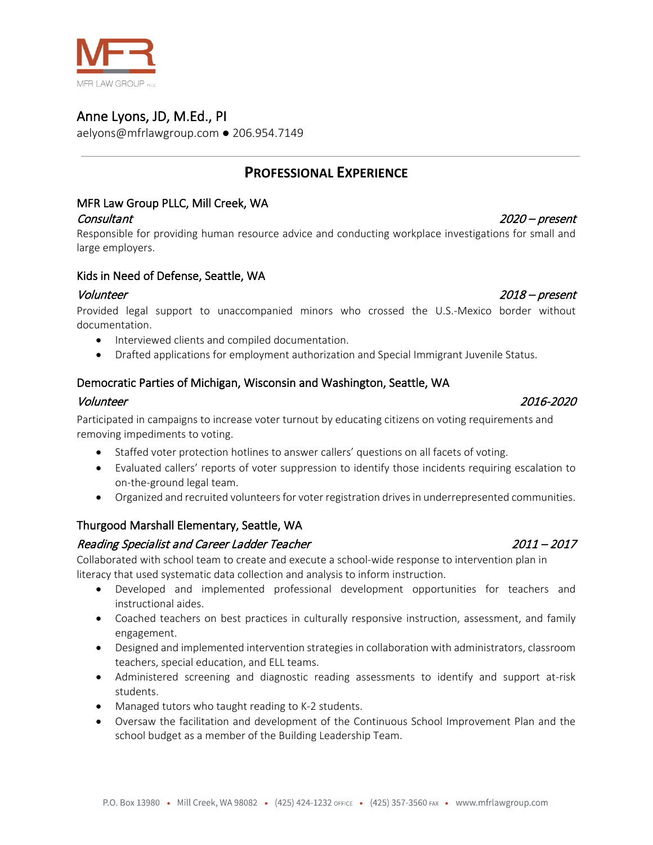

# Anne Lyons, JD, M.Ed., PI

**MFR LAW GROUP PLLC** 

aelyons@mfrlawgroup.com ● 206.954.7149

# **PROFESSIONAL EXPERIENCE**

# MFR Law Group PLLC, Mill Creek, WA

Responsible for providing human resource advice and conducting workplace investigations for small and large employers.

#### Kids in Need of Defense, Seattle, WA

#### Volunteer 2018 – present

Provided legal support to unaccompanied minors who crossed the U.S.-Mexico border without documentation.

- Interviewed clients and compiled documentation.
- Drafted applications for employment authorization and Special Immigrant Juvenile Status.

#### Democratic Parties of Michigan, Wisconsin and Washington, Seattle, WA

#### Volunteer 2016-2020

Participated in campaigns to increase voter turnout by educating citizens on voting requirements and removing impediments to voting.

- Staffed voter protection hotlines to answer callers' questions on all facets of voting.
- Evaluated callers' reports of voter suppression to identify those incidents requiring escalation to on-the-ground legal team.
- Organized and recruited volunteers for voter registration drives in underrepresented communities.

#### Thurgood Marshall Elementary, Seattle, WA

#### Reading Specialist and Career Ladder Teacher 2011 – 2014 – 2017

Collaborated with school team to create and execute a school-wide response to intervention plan in literacy that used systematic data collection and analysis to inform instruction.

- Developed and implemented professional development opportunities for teachers and instructional aides.
- Coached teachers on best practices in culturally responsive instruction, assessment, and family engagement.
- Designed and implemented intervention strategies in collaboration with administrators, classroom teachers, special education, and ELL teams.
- Administered screening and diagnostic reading assessments to identify and support at-risk students.
- Managed tutors who taught reading to K-2 students.
- Oversaw the facilitation and development of the Continuous School Improvement Plan and the school budget as a member of the Building Leadership Team.



# Consultant 2020 – present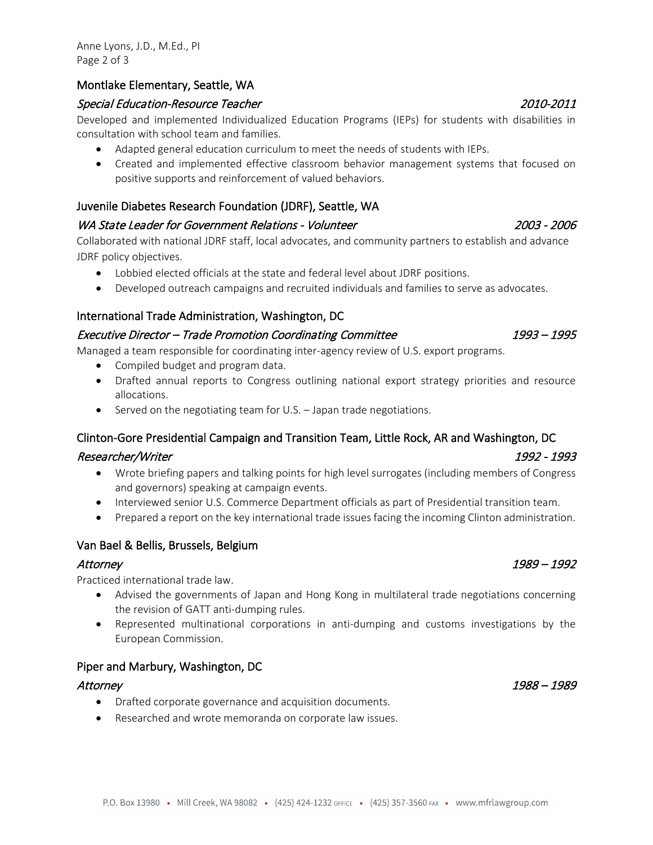#### Montlake Elementary, Seattle, WA

### Special Education-Resource Teacher 2010-2011

Developed and implemented Individualized Education Programs (IEPs) for students with disabilities in consultation with school team and families.

- Adapted general education curriculum to meet the needs of students with IEPs.
- Created and implemented effective classroom behavior management systems that focused on positive supports and reinforcement of valued behaviors.

### Juvenile Diabetes Research Foundation (JDRF), Seattle, WA

#### WA State Leader for Government Relations - Volunteer 2003 - 2006

Collaborated with national JDRF staff, local advocates, and community partners to establish and advance JDRF policy objectives.

- Lobbied elected officials at the state and federal level about JDRF positions.
- Developed outreach campaigns and recruited individuals and families to serve as advocates.

### International Trade Administration, Washington, DC

### Executive Director – Trade Promotion Coordinating Committee 1993 – 1993 – 1995

Managed a team responsible for coordinating inter-agency review of U.S. export programs.

- Compiled budget and program data.
- Drafted annual reports to Congress outlining national export strategy priorities and resource allocations.
- Served on the negotiating team for U.S. Japan trade negotiations.

### Clinton-Gore Presidential Campaign and Transition Team, Little Rock, AR and Washington, DC

#### Researcher/Writer 1992 - 1993

- Wrote briefing papers and talking points for high level surrogates (including members of Congress and governors) speaking at campaign events.
- Interviewed senior U.S. Commerce Department officials as part of Presidential transition team.
- Prepared a report on the key international trade issues facing the incoming Clinton administration.

#### Van Bael & Bellis, Brussels, Belgium

#### Attorney 1989 – 1992

Practiced international trade law.

- Advised the governments of Japan and Hong Kong in multilateral trade negotiations concerning the revision of GATT anti-dumping rules.
- Represented multinational corporations in anti-dumping and customs investigations by the European Commission.

#### Piper and Marbury, Washington, DC

- Drafted corporate governance and acquisition documents.
- Researched and wrote memoranda on corporate law issues.

### Attorney 1988 – 1989